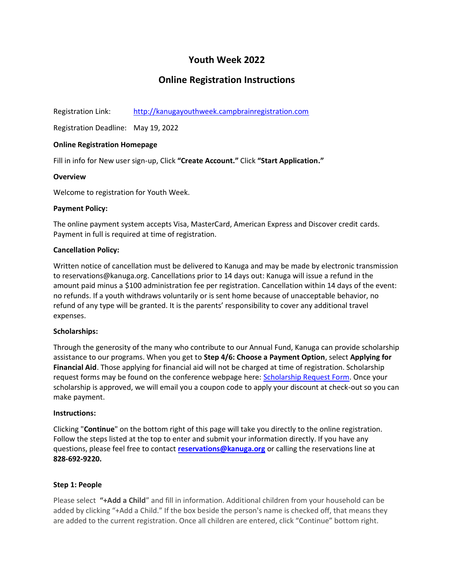# **Youth Week 2022**

# **Online Registration Instructions**

Registration Link: [http://kanugayouthweek.campbrainregistration.com](http://kanugayouthweek.campbrainregistration.com/)

Registration Deadline: May 19, 2022

# **Online Registration Homepage**

Fill in info for New user sign-up, Click **"Create Account."** Click **"Start Application."**

# **Overview**

Welcome to registration for Youth Week.

# **Payment Policy:**

The online payment system accepts Visa, MasterCard, American Express and Discover credit cards. Payment in full is required at time of registration.

# **Cancellation Policy:**

Written notice of cancellation must be delivered to Kanuga and may be made by electronic transmission to reservations@kanuga.org. Cancellations prior to 14 days out: Kanuga will issue a refund in the amount paid minus a \$100 administration fee per registration. Cancellation within 14 days of the event: no refunds. If a youth withdraws voluntarily or is sent home because of unacceptable behavior, no refund of any type will be granted. It is the parents' responsibility to cover any additional travel expenses.

# **Scholarships:**

Through the generosity of the many who contribute to our Annual Fund, Kanuga can provide scholarship assistance to our programs. When you get to **Step 4/6: Choose a Payment Option**, select **Applying for Financial Aid**. Those applying for financial aid will not be charged at time of registration. Scholarship request forms may be found on the conference webpage here: [Scholarship Request Form.](https://www.kanuga.org/wp-content/uploads/2022/03/Scholarship-Request-2022.pdf) Once your scholarship is approved, we will email you a coupon code to apply your discount at check-out so you can make payment.

# **Instructions:**

Clicking "**Continue**" on the bottom right of this page will take you directly to the online registration. Follow the steps listed at the top to enter and submit your information directly. If you have any questions, please feel free to contact **[reservations@kanuga.org](mailto:reservations@kanuga.org)** or calling the reservations line at **828-692-9220.**

# **Step 1: People**

Please select **"+Add a Child**" and fill in information. Additional children from your household can be added by clicking "+Add a Child." If the box beside the person's name is checked off, that means they are added to the current registration. Once all children are entered, click "Continue" bottom right.